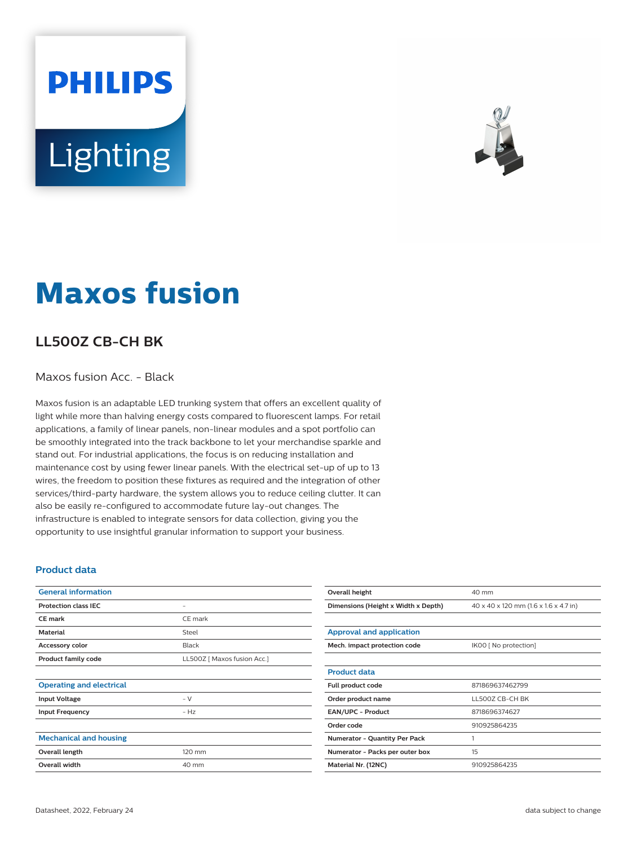# **PHILIPS** Lighting



## **Maxos fusion**

### **LL500Z CB-CH BK**

#### Maxos fusion Acc. - Black

Maxos fusion is an adaptable LED trunking system that offers an excellent quality of light while more than halving energy costs compared to fluorescent lamps. For retail applications, a family of linear panels, non-linear modules and a spot portfolio can be smoothly integrated into the track backbone to let your merchandise sparkle and stand out. For industrial applications, the focus is on reducing installation and maintenance cost by using fewer linear panels. With the electrical set-up of up to 13 wires, the freedom to position these fixtures as required and the integration of other services/third-party hardware, the system allows you to reduce ceiling clutter. It can also be easily re-configured to accommodate future lay-out changes. The infrastructure is enabled to integrate sensors for data collection, giving you the opportunity to use insightful granular information to support your business.

#### **Product data**

| <b>General information</b>      |                             |
|---------------------------------|-----------------------------|
| <b>Protection class IEC</b>     | -                           |
| <b>CE</b> mark                  | CE mark                     |
| <b>Material</b>                 | Steel                       |
| Accessory color                 | Black                       |
| <b>Product family code</b>      | LL500Z [ Maxos fusion Acc.] |
|                                 |                             |
| <b>Operating and electrical</b> |                             |
| <b>Input Voltage</b>            | $-V$                        |
| <b>Input Frequency</b>          | $- Hz$                      |
|                                 |                             |
| <b>Mechanical and housing</b>   |                             |
| Overall length                  | 120 mm                      |
| <b>Overall width</b>            | 40 mm                       |
|                                 |                             |

| Overall height                       | 40 mm                                 |  |
|--------------------------------------|---------------------------------------|--|
| Dimensions (Height x Width x Depth)  | 40 x 40 x 120 mm (1.6 x 1.6 x 4.7 in) |  |
|                                      |                                       |  |
| Approval and application             |                                       |  |
| Mech. impact protection code         | IK00 [ No protection]                 |  |
|                                      |                                       |  |
| <b>Product data</b>                  |                                       |  |
| Full product code                    | 871869637462799                       |  |
| Order product name                   | LL500Z CB-CH BK                       |  |
| <b>EAN/UPC - Product</b>             | 8718696374627                         |  |
| Order code                           | 910925864235                          |  |
| <b>Numerator - Quantity Per Pack</b> | 1                                     |  |
| Numerator - Packs per outer box      | 15                                    |  |
| Material Nr. (12NC)                  | 910925864235                          |  |
|                                      |                                       |  |